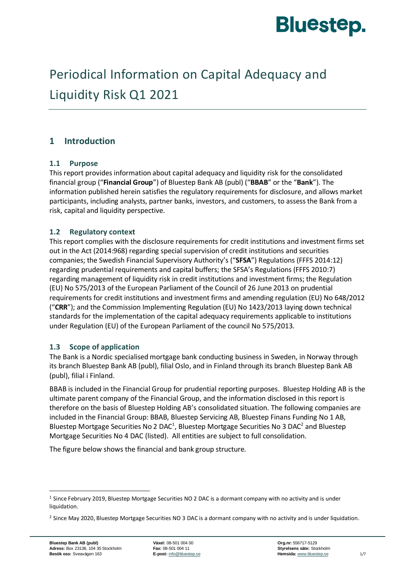

# Periodical Information on Capital Adequacy and Liquidity Risk Q1 2021

# **1 Introduction**

# **1.1 Purpose**

This report provides information about capital adequacy and liquidity risk for the consolidated financial group ("**Financial Group**") of Bluestep Bank AB (publ) ("**BBAB**" or the "**Bank**"). The information published herein satisfies the regulatory requirements for disclosure, and allows market participants, including analysts, partner banks, investors, and customers, to assess the Bank from a risk, capital and liquidity perspective.

# **1.2 Regulatory context**

This report complies with the disclosure requirements for credit institutions and investment firms set out in the Act (2014:968) regarding special supervision of credit institutions and securities companies; the Swedish Financial Supervisory Authority's ("**SFSA**") Regulations (FFFS 2014:12) regarding prudential requirements and capital buffers; the SFSA's Regulations (FFFS 2010:7) regarding management of liquidity risk in credit institutions and investment firms; the Regulation (EU) No 575/2013 of the European Parliament of the Council of 26 June 2013 on prudential requirements for credit institutions and investment firms and amending regulation (EU) No 648/2012 ("**CRR**"); and the Commission Implementing Regulation (EU) No 1423/2013 laying down technical standards for the implementation of the capital adequacy requirements applicable to institutions under Regulation (EU) of the European Parliament of the council No 575/2013.

# **1.3 Scope of application**

The Bank is a Nordic specialised mortgage bank conducting business in Sweden, in Norway through its branch Bluestep Bank AB (publ), filial Oslo, and in Finland through its branch Bluestep Bank AB (publ), filial i Finland.

BBAB is included in the Financial Group for prudential reporting purposes. Bluestep Holding AB is the ultimate parent company of the Financial Group, and the information disclosed in this report is therefore on the basis of Bluestep Holding AB's consolidated situation. The following companies are included in the Financial Group: BBAB, Bluestep Servicing AB, Bluestep Finans Funding No 1 AB, Bluestep Mortgage Securities No 2 DAC<sup>1</sup>, Bluestep Mortgage Securities No 3 DAC<sup>2</sup> and Bluestep Mortgage Securities No 4 DAC (listed). All entities are subject to full consolidation.

The figure below shows the financial and bank group structure.

<sup>1</sup> Since February 2019, Bluestep Mortgage Securities NO 2 DAC is a dormant company with no activity and is under liquidation.

<sup>&</sup>lt;sup>2</sup> Since May 2020, Bluestep Mortgage Securities NO 3 DAC is a dormant company with no activity and is under liquidation.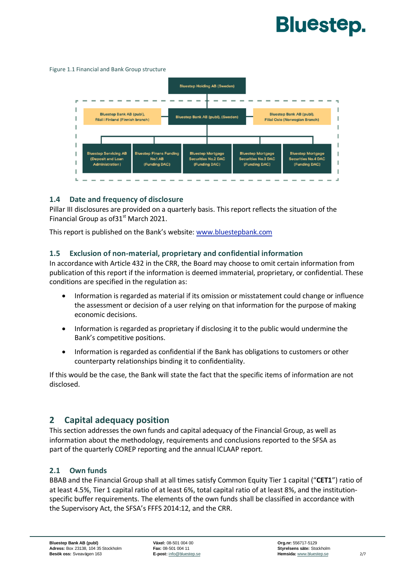# **Bluestep.**

#### Figure 1.1 Financial and Bank Group structure



#### **1.4 Date and frequency of disclosure**

Pillar III disclosures are provided on a quarterly basis. This report reflects the situation of the Financial Group as of  $31<sup>st</sup>$  March 2021.

This report is published on the Bank's website: [www.bluestepbank.com](http://www.bluestepbank.com/)

#### **1.5 Exclusion of non-material, proprietary and confidential information**

In accordance with Article 432 in the CRR, the Board may choose to omit certain information from publication of this report if the information is deemed immaterial, proprietary, or confidential. These conditions are specified in the regulation as:

- Information is regarded as material if its omission or misstatement could change or influence the assessment or decision of a user relying on that information for the purpose of making economic decisions.
- Information is regarded as proprietary if disclosing it to the public would undermine the Bank's competitive positions.
- Information is regarded as confidential if the Bank has obligations to customers or other counterparty relationships binding it to confidentiality.

If this would be the case, the Bank will state the fact that the specific items of information are not disclosed.

# **2 Capital adequacy position**

This section addresses the own funds and capital adequacy of the Financial Group, as well as information about the methodology, requirements and conclusions reported to the SFSA as part of the quarterly COREP reporting and the annual ICLAAP report.

#### **2.1 Own funds**

BBAB and the Financial Group shall at all times satisfy Common Equity Tier 1 capital ("**CET1**") ratio of at least 4.5%, Tier 1 capital ratio of at least 6%, total capital ratio of at least 8%, and the institutionspecific buffer requirements. The elements of the own funds shall be classified in accordance with the Supervisory Act, the SFSA's FFFS 2014:12, and the CRR.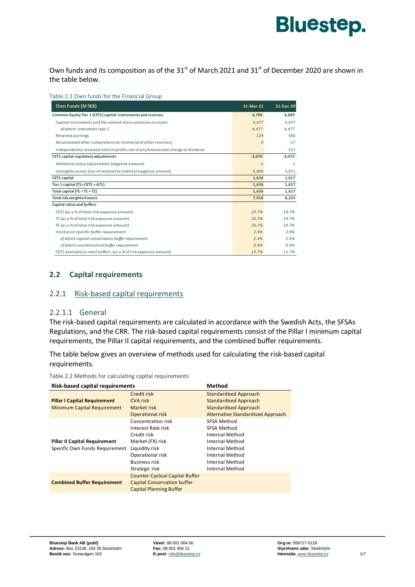

Own funds and its composition as of the  $31<sup>st</sup>$  of March 2021 and  $31<sup>st</sup>$  of December 2020 are shown in the table below.

Table 2.1 Own funds for the Financial Group

| Own Funds (M SEK)                                                                | 31-Mar-21 | 31-Dec-20 |
|----------------------------------------------------------------------------------|-----------|-----------|
| Common Equity Tier 1 (CET1) capital: instruments and reserves                    | 4,706     | 4,689     |
| Capital instruments and the related share premium accounts                       | 4.477     | 4.477     |
| of which: instrument type 1                                                      | 4.477     | 4,477     |
| Retained earnings                                                                | 229       | 350       |
| Accumulated other comprehensive income (and other reserves)                      | $\Omega$  | $-17$     |
| Independently reviewed interim profits net of any foreseeable charge or dividend |           | $-121$    |
| CET1 capital regulatory adjustments                                              | $-3,070$  | $-3,072$  |
| Additional value adjustments (negative amount)                                   | $-1$      | $-1$      |
| Intangible assets (net of related tax liability) (negative amount)               | $-3.069$  | $-3.071$  |
| <b>CET1</b> capital                                                              | 1,636     | 1,617     |
| Tier 1 capital $(T1 = CET1 + AT1)$                                               | 1,636     | 1,617     |
| Total capital $(TC = T1 + T2)$                                                   | 1,636     | 1,617     |
| Total risk weighted assets                                                       | 7,916     | 8,223     |
| Capital ratios and buffers                                                       |           |           |
| CET1 (as a % of total risk exposure amount)                                      | 20.7%     | 19.7%     |
| T1 (as a % of total risk exposure amount)                                        | 20.7%     | 19.7%     |
| TC (as a % of total risk exposure amount)                                        | 20.7%     | 19.7%     |
| Institution specific buffer requirement                                          | 2.9%      | 2.9%      |
| of which capital conservation buffer requirement                                 | 2.5%      | 2.5%      |
| of which countercyclical buffer requirement                                      | 0.4%      | 0.4%      |
| CET1 available to meet buffers (as a % of risk exposure amount)                  | 12.7%     | 11.7%     |

# **2.2 Capital requirements**

#### 2.2.1 Risk-based capital requirements

#### 2.2.1.1 General

The risk-based capital requirements are calculated in accordance with the Swedish Acts, the SFSAs Regulations, and the CRR. The risk-based capital requirements consist of the Pillar I minimum capital requirements, the Pillar II capital requirements, and the combined buffer requirements.

The table below gives an overview of methods used for calculating the risk-based capital requirements.

| <b>Risk-based capital requirements</b> | <b>Method</b>                            |
|----------------------------------------|------------------------------------------|
| Credit risk                            | <b>Standardised Approach</b>             |
| <b>CVA risk</b>                        | <b>Standardised Approach</b>             |
| Market risk                            | <b>Standardised Approach</b>             |
| <b>Operational risk</b>                | <b>Alternative Standardised Approach</b> |
| Concentration risk                     | SFSA Method                              |
| Interest Rate risk                     | SFSA Method                              |
| Credit risk                            | Internal Method                          |
| Market (FX) risk                       | Internal Method                          |
| Liquidity risk                         | Internal Method                          |
| Operational risk                       | Internal Method                          |
| <b>Business risk</b>                   | Internal Method                          |
| Strategic risk                         | Internal Method                          |
| <b>Counter-Cyclical Capital Buffer</b> |                                          |
| <b>Capital Conservation buffer</b>     |                                          |
| <b>Capital Planning Buffer</b>         |                                          |
|                                        |                                          |

Table 2.2 Methods for calculating capital requirements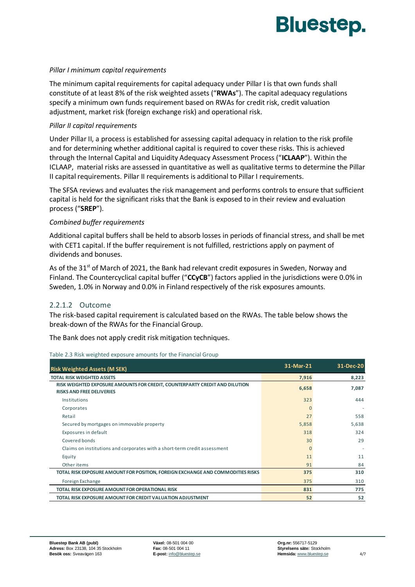

#### *Pillar I minimum capital requirements*

The minimum capital requirements for capital adequacy under Pillar I is that own funds shall constitute of at least 8% of the risk weighted assets ("**RWAs**"). The capital adequacy regulations specify a minimum own funds requirement based on RWAs for credit risk, credit valuation adjustment, market risk (foreign exchange risk) and operational risk.

#### *Pillar II capital requirements*

Under Pillar II, a process is established for assessing capital adequacy in relation to the risk profile and for determining whether additional capital is required to cover these risks. This is achieved through the Internal Capital and Liquidity Adequacy Assessment Process ("**ICLAAP**"). Within the ICLAAP, material risks are assessed in quantitative as well as qualitative terms to determine the Pillar II capital requirements. Pillar II requirements is additional to Pillar I requirements.

The SFSA reviews and evaluates the risk management and performs controls to ensure that sufficient capital is held for the significant risks that the Bank is exposed to in their review and evaluation process ("**SREP**").

#### *Combined buffer requirements*

Additional capital buffers shall be held to absorb losses in periods of financial stress, and shall be met with CET1 capital. If the buffer requirement is not fulfilled, restrictions apply on payment of dividends and bonuses.

As of the 31<sup>st</sup> of March of 2021, the Bank had relevant credit exposures in Sweden, Norway and Finland. The Countercyclical capital buffer ("**CCyCB**") factors applied in the jurisdictions were 0.0% in Sweden, 1.0% in Norway and 0.0% in Finland respectively of the risk exposures amounts.

# 2.2.1.2 Outcome

The risk-based capital requirement is calculated based on the RWAs. The table below shows the break-down of the RWAs for the Financial Group.

The Bank does not apply credit risk mitigation techniques.

| <b>Risk Weighted Assets (M SEK)</b>                                                                             | 31-Mar-21 | 31-Dec-20 |
|-----------------------------------------------------------------------------------------------------------------|-----------|-----------|
| <b>TOTAL RISK WEIGHTED ASSETS</b>                                                                               | 7,916     | 8,223     |
| RISK WEIGHTED EXPOSURE AMOUNTS FOR CREDIT, COUNTERPARTY CREDIT AND DILUTION<br><b>RISKS AND FREE DELIVERIES</b> | 6,658     | 7,087     |
| Institutions                                                                                                    | 323       | 444       |
| Corporates                                                                                                      | $\Omega$  |           |
| Retail                                                                                                          | 27        | 558       |
| Secured by mortgages on immovable property                                                                      | 5,858     | 5,638     |
| Exposures in default                                                                                            | 318       | 324       |
| Covered bonds                                                                                                   | 30        | 29        |
| Claims on institutions and corporates with a short-term credit assessment                                       | $\Omega$  |           |
| Equity                                                                                                          | 11        | 11        |
| Other items                                                                                                     | 91        | 84        |
| TOTAL RISK EXPOSURE AMOUNT FOR POSITION, FOREIGN EXCHANGE AND COMMODITIES RISKS                                 | 375       | 310       |
| Foreign Exchange                                                                                                | 375       | 310       |
| <b>TOTAL RISK EXPOSURE AMOUNT FOR OPERATIONAL RISK</b>                                                          | 831       | 775       |
| TOTAL RISK EXPOSURE AMOUNT FOR CREDIT VALUATION ADJUSTMENT                                                      | 52        | 52        |
|                                                                                                                 |           |           |

Table 2.3 Risk weighted exposure amounts for the Financial Group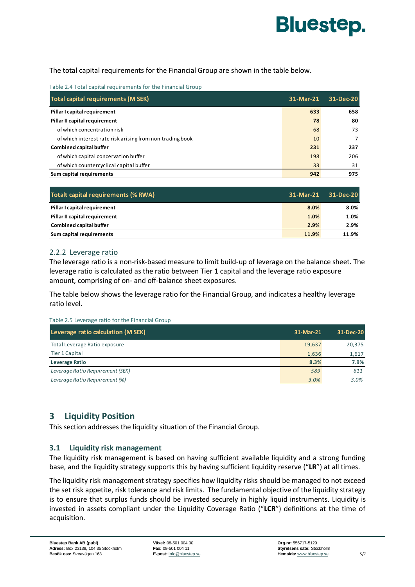

The total capital requirements for the Financial Group are shown in the table below.

Table 2.4 Total capital requirements for the Financial Group

| Total capital requirements (M SEK)                        | 31-Mar-21 | 31-Dec-20      |
|-----------------------------------------------------------|-----------|----------------|
| Pillar I capital requirement                              | 633       | 658            |
| Pillar II capital requirement                             | 78        | 80             |
| of which concentration risk                               | 68        | 73             |
| of which interest rate risk arising from non-trading book | 10        | $\overline{7}$ |
| <b>Combined capital buffer</b>                            | 231       | 237            |
| of which capital concervation buffer                      | 198       | 206            |
| of which countercyclical capital buffer                   | 33        | 31             |
| Sum capital requirements                                  | 942       | 975            |

| Totalt capital requirements (% RWA) | 31-Mar-21 | 31-Dec-20 |
|-------------------------------------|-----------|-----------|
| Pillar I capital requirement        | 8.0%      | 8.0%      |
| Pillar II capital requirement       | 1.0%      | 1.0%      |
| <b>Combined capital buffer</b>      | 2.9%      | 2.9%      |
| Sum capital requirements            | 11.9%     | 11.9%     |

#### 2.2.2 Leverage ratio

The leverage ratio is a non-risk-based measure to limit build-up of leverage on the balance sheet. The leverage ratio is calculated as the ratio between Tier 1 capital and the leverage ratio exposure amount, comprising of on- and off-balance sheet exposures.

The table below shows the leverage ratio for the Financial Group, and indicates a healthy leverage ratio level.

Table 2.5 Leverage ratio for the Financial Group

| Leverage ratio calculation (M SEK) | 31-Mar-21 | 31-Dec-20 |
|------------------------------------|-----------|-----------|
| Total Leverage Ratio exposure      | 19,637    | 20,375    |
| Tier 1 Capital                     | 1.636     | 1,617     |
| Leverage Ratio                     | 8.3%      | 7.9%      |
| Leverage Ratio Requirement (SEK)   | 589       | 611       |
| Leverage Ratio Requirement (%)     | 3.0%      | 3.0%      |

# **3 Liquidity Position**

This section addresses the liquidity situation of the Financial Group.

# **3.1 Liquidity risk management**

The liquidity risk management is based on having sufficient available liquidity and a strong funding base, and the liquidity strategy supports this by having sufficient liquidity reserve ("**LR**") at all times.

The liquidity risk management strategy specifies how liquidity risks should be managed to not exceed the set risk appetite, risk tolerance and risk limits. The fundamental objective of the liquidity strategy is to ensure that surplus funds should be invested securely in highly liquid instruments. Liquidity is invested in assets compliant under the Liquidity Coverage Ratio ("**LCR**") definitions at the time of acquisition.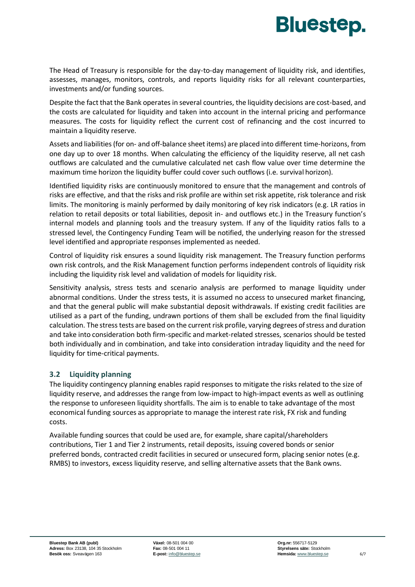

The Head of Treasury is responsible for the day-to-day management of liquidity risk, and identifies, assesses, manages, monitors, controls, and reports liquidity risks for all relevant counterparties, investments and/or funding sources.

Despite the fact that the Bank operates in several countries, the liquidity decisions are cost-based, and the costs are calculated for liquidity and taken into account in the internal pricing and performance measures. The costs for liquidity reflect the current cost of refinancing and the cost incurred to maintain a liquidity reserve.

Assets and liabilities (for on- and off-balance sheet items) are placed into different time-horizons, from one day up to over 18 months. When calculating the efficiency of the liquidity reserve, all net cash outflows are calculated and the cumulative calculated net cash flow value over time determine the maximum time horizon the liquidity buffer could cover such outflows (i.e. survival horizon).

Identified liquidity risks are continuously monitored to ensure that the management and controls of risks are effective, and that the risks and risk profile are within set risk appetite, risk tolerance and risk limits. The monitoring is mainly performed by daily monitoring of key risk indicators (e.g. LR ratios in relation to retail deposits or total liabilities, deposit in- and outflows etc.) in the Treasury function's internal models and planning tools and the treasury system. If any of the liquidity ratios falls to a stressed level, the Contingency Funding Team will be notified, the underlying reason for the stressed level identified and appropriate responses implemented as needed.

Control of liquidity risk ensures a sound liquidity risk management. The Treasury function performs own risk controls, and the Risk Management function performs independent controls of liquidity risk including the liquidity risk level and validation of models for liquidity risk.

Sensitivity analysis, stress tests and scenario analysis are performed to manage liquidity under abnormal conditions. Under the stress tests, it is assumed no access to unsecured market financing, and that the general public will make substantial deposit withdrawals. If existing credit facilities are utilised as a part of the funding, undrawn portions of them shall be excluded from the final liquidity calculation. The stress tests are based on the current risk profile, varying degrees of stress and duration and take into consideration both firm-specific and market-related stresses, scenarios should be tested both individually and in combination, and take into consideration intraday liquidity and the need for liquidity for time-critical payments.

# **3.2 Liquidity planning**

The liquidity contingency planning enables rapid responses to mitigate the risks related to the size of liquidity reserve, and addresses the range from low-impact to high-impact events as well as outlining the response to unforeseen liquidity shortfalls. The aim is to enable to take advantage of the most economical funding sources as appropriate to manage the interest rate risk, FX risk and funding costs.

Available funding sources that could be used are, for example, share capital/shareholders contributions, Tier 1 and Tier 2 instruments, retail deposits, issuing covered bonds or senior preferred bonds, contracted credit facilities in secured or unsecured form, placing senior notes (e.g. RMBS) to investors, excess liquidity reserve, and selling alternative assets that the Bank owns.